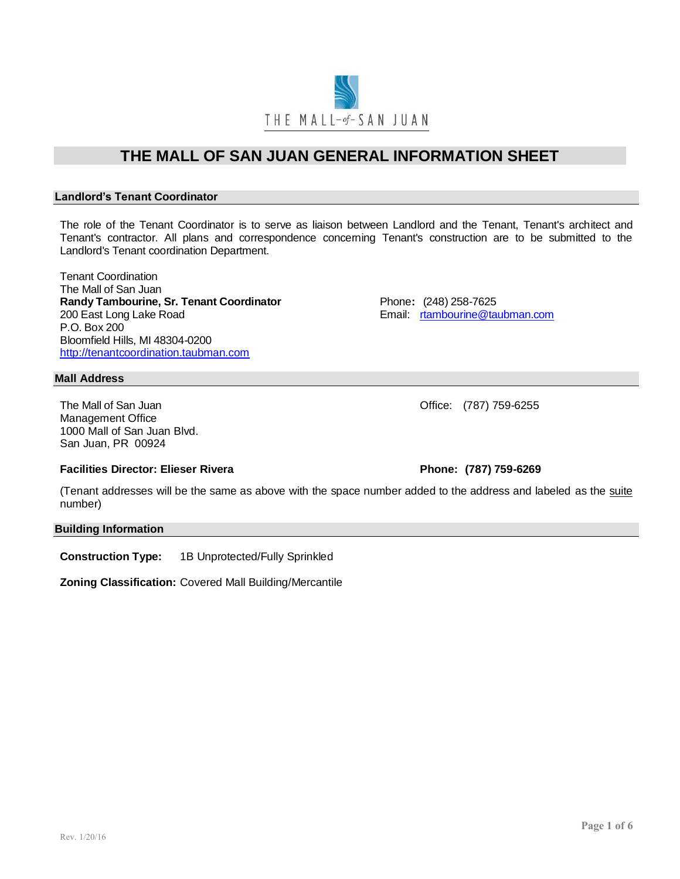**THE MALL OF SAN JUAN GENERAL INFORMATION SHEET Landlord's Tenant Coordinator**

The role of the Tenant Coordinator is to serve as liaison between Landlord and the Tenant, Tenant's architect and Tenant's contractor. All plans and correspondence concerning Tenant's construction are to be submitted to the Landlord's Tenant coordination Department.

Tenant Coordination The Mall of San Juan **Randy Tambourine, Sr. Tenant Coordinator Francisco Phone: (248) 258-7625** 200 East Long Lake Road **Email:** [rtambourine@taubman.com](mailto:rtambourine@taubman.com) P.O. Box 200 Bloomfield Hills, MI 48304-0200 [http://tenantcoordination.taubman.com](http://tenantcoordination.taubman.com/)

#### **Mall Address**

The Mall of San Juan **Development Controllering Controllering Controllering Controllering Controllering Controllering Controllering Controllering Controllering Controllering Controllering Controllering Controllering Contro** Management Office 1000 Mall of San Juan Blvd. San Juan, PR 00924

### **Facilities Director: Elieser Rivera Phone: (787) 759-6269**

(Tenant addresses will be the same as above with the space number added to the address and labeled as the suite number)

**Building Information**

**Construction Type:** 1B Unprotected/Fully Sprinkled

**Zoning Classification:** Covered Mall Building/Mercantile



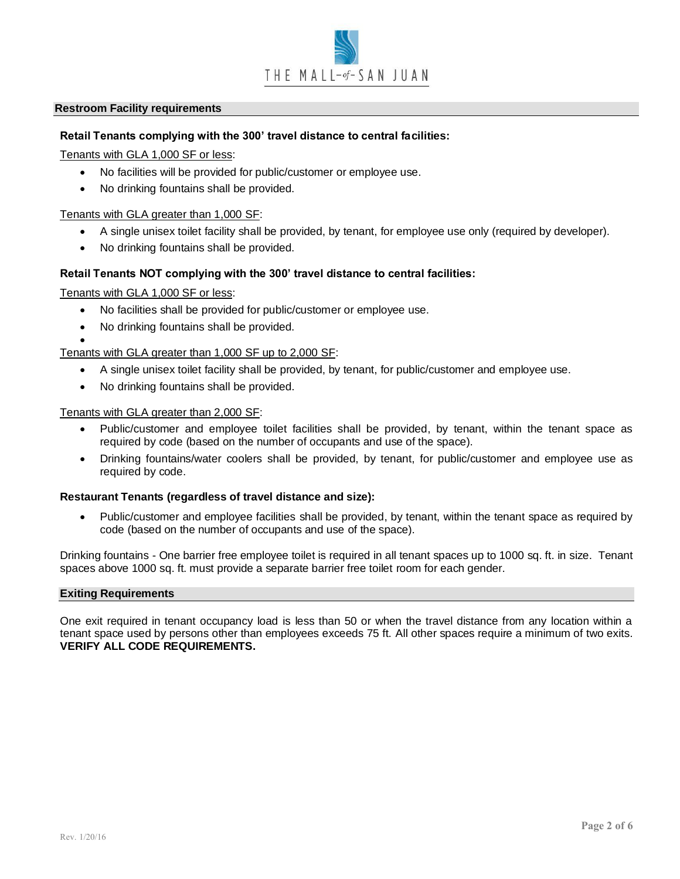

#### **Restroom Facility requirements**

#### **Retail Tenants complying with the 300' travel distance to central facilities:**

Tenants with GLA 1,000 SF or less:

- No facilities will be provided for public/customer or employee use.
- No drinking fountains shall be provided.

Tenants with GLA greater than 1,000 SF:

- A single unisex toilet facility shall be provided, by tenant, for employee use only (required by developer).
- No drinking fountains shall be provided.

#### **Retail Tenants NOT complying with the 300' travel distance to central facilities:**

Tenants with GLA 1,000 SF or less:

- No facilities shall be provided for public/customer or employee use.
- No drinking fountains shall be provided.

• Tenants with GLA greater than 1,000 SF up to 2,000 SF:

- A single unisex toilet facility shall be provided, by tenant, for public/customer and employee use.
- No drinking fountains shall be provided.

Tenants with GLA greater than 2,000 SF:

- Public/customer and employee toilet facilities shall be provided, by tenant, within the tenant space as required by code (based on the number of occupants and use of the space).
- Drinking fountains/water coolers shall be provided, by tenant, for public/customer and employee use as required by code.

#### **Restaurant Tenants (regardless of travel distance and size):**

• Public/customer and employee facilities shall be provided, by tenant, within the tenant space as required by code (based on the number of occupants and use of the space).

Drinking fountains - One barrier free employee toilet is required in all tenant spaces up to 1000 sq. ft. in size. Tenant spaces above 1000 sq. ft. must provide a separate barrier free toilet room for each gender.

#### **Exiting Requirements**

One exit required in tenant occupancy load is less than 50 or when the travel distance from any location within a tenant space used by persons other than employees exceeds 75 ft. All other spaces require a minimum of two exits. **VERIFY ALL CODE REQUIREMENTS.**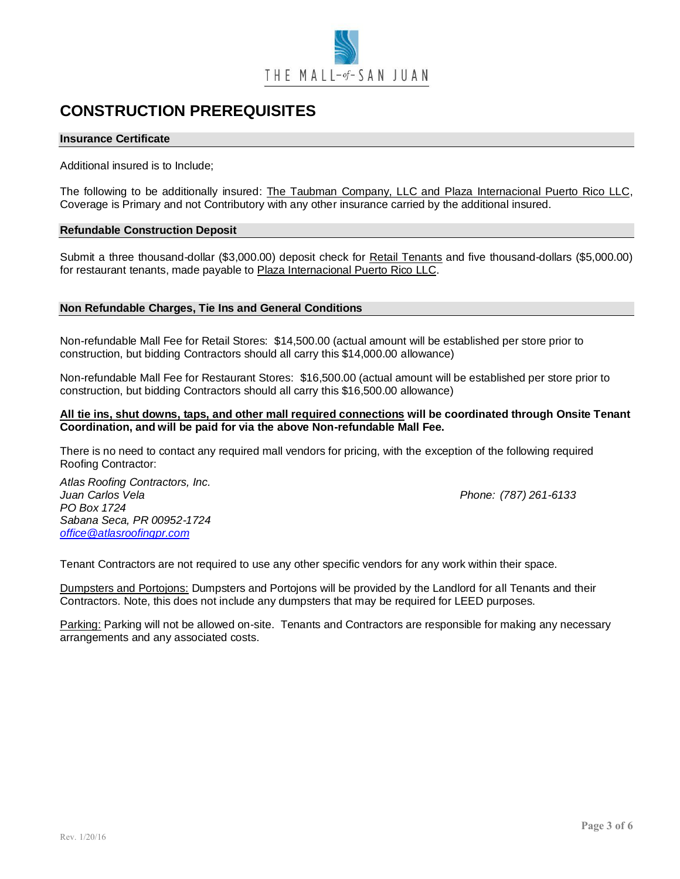

# **CONSTRUCTION PREREQUISITES**

#### **Insurance Certificate**

Additional insured is to Include;

The following to be additionally insured: The Taubman Company, LLC and Plaza Internacional Puerto Rico LLC, Coverage is Primary and not Contributory with any other insurance carried by the additional insured.

#### **Refundable Construction Deposit**

Submit a three thousand-dollar (\$3,000.00) deposit check for Retail Tenants and five thousand-dollars (\$5,000.00) for restaurant tenants, made payable to Plaza Internacional Puerto Rico LLC.

#### **Non Refundable Charges, Tie Ins and General Conditions**

Non-refundable Mall Fee for Retail Stores: \$14,500.00 (actual amount will be established per store prior to construction, but bidding Contractors should all carry this \$14,000.00 allowance)

Non-refundable Mall Fee for Restaurant Stores: \$16,500.00 (actual amount will be established per store prior to construction, but bidding Contractors should all carry this \$16,500.00 allowance)

#### **All tie ins, shut downs, taps, and other mall required connections will be coordinated through Onsite Tenant Coordination, and will be paid for via the above Non-refundable Mall Fee.**

There is no need to contact any required mall vendors for pricing, with the exception of the following required Roofing Contractor:

*Atlas Roofing Contractors, Inc. Juan Carlos Vela Phone: (787) 261-6133 PO Box 1724 Sabana Seca, PR 00952-1724 [office@atlasroofingpr.com](mailto:office@atlasroofingpr.com)*

Tenant Contractors are not required to use any other specific vendors for any work within their space.

Dumpsters and Portojons: Dumpsters and Portojons will be provided by the Landlord for all Tenants and their Contractors. Note, this does not include any dumpsters that may be required for LEED purposes.

Parking: Parking will not be allowed on-site. Tenants and Contractors are responsible for making any necessary arrangements and any associated costs.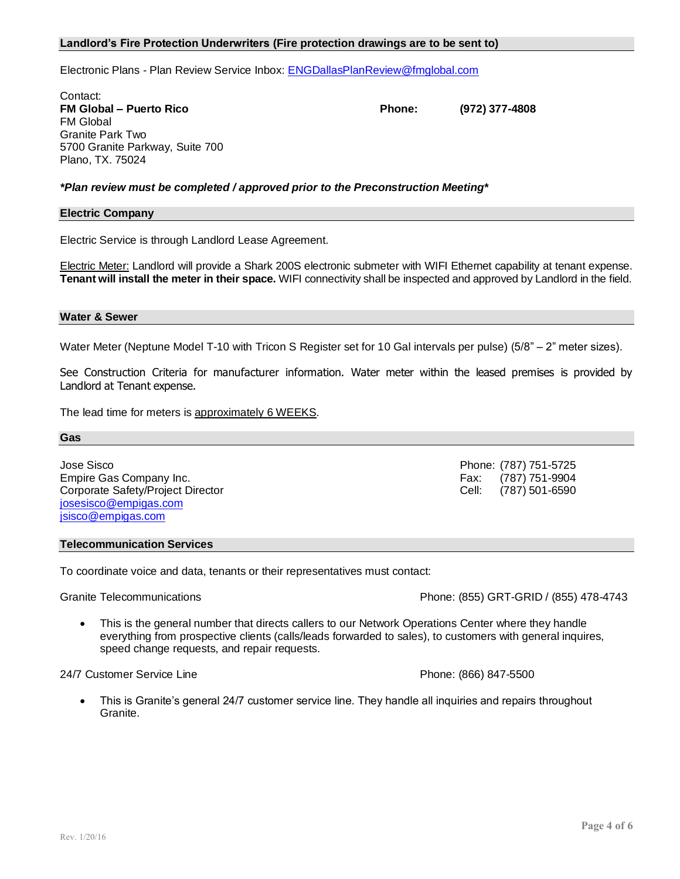#### **Landlord's Fire Protection Underwriters (Fire protection drawings are to be sent to)**

Electronic Plans - Plan Review Service Inbox: [ENGDallasPlanReview@fmglobal.com](mailto:ENGDallasPlanReview@fmglobal.com)

Contact: **FM Global – Puerto Rico Phone: (972) 377-4808** FM Global Granite Park Two 5700 Granite Parkway, Suite 700 Plano, TX. 75024

*\*Plan review must be completed / approved prior to the Preconstruction Meeting\**

#### **Electric Company**

Electric Service is through Landlord Lease Agreement.

Electric Meter: Landlord will provide a Shark 200S electronic submeter with WIFI Ethernet capability at tenant expense. **Tenant will install the meter in their space.** WIFI connectivity shall be inspected and approved by Landlord in the field.

#### **Water & Sewer**

Water Meter (Neptune Model T-10 with Tricon S Register set for 10 Gal intervals per pulse) (5/8" – 2" meter sizes).

See Construction Criteria for manufacturer information. Water meter within the leased premises is provided by Landlord at Tenant expense.

The lead time for meters is approximately 6 WEEKS.

**Gas**

Jose Sisco Phone: (787) 751-5725 Empire Gas Company Inc. **Fax: (787) 751-9904** Empire Gas Company Inc. Corporate Safety/Project Director Cell: (787) 501-6590 [josesisco@empigas.com](mailto:josesisco@empigas.com) [jsisco@empigas.com](mailto:jsisco@empigas.com)

#### **Telecommunication Services**

To coordinate voice and data, tenants or their representatives must contact:

Granite Telecommunications **Contractions** Phone: (855) GRT-GRID / (855) 478-4743

This is the general number that directs callers to our Network Operations Center where they handle everything from prospective clients (calls/leads forwarded to sales), to customers with general inquires, speed change requests, and repair requests.

#### 24/7 Customer Service Line **Phone: (866) 847-5500** Phone: (866) 847-5500

• This is Granite's general 24/7 customer service line. They handle all inquiries and repairs throughout Granite.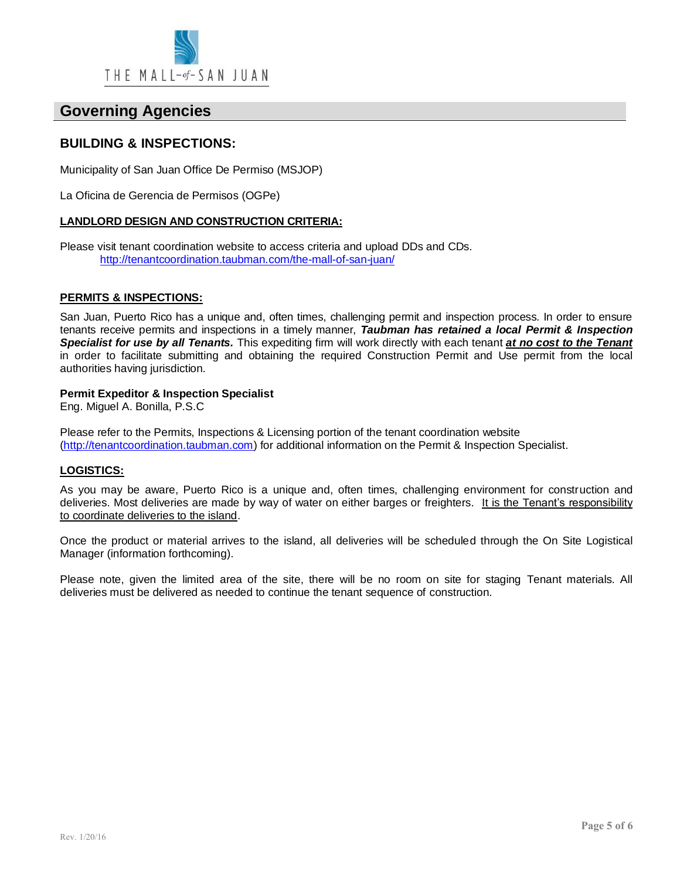

# **Governing Agencies**

## **BUILDING & INSPECTIONS:**

Municipality of San Juan Office De Permiso (MSJOP)

La Oficina de Gerencia de Permisos (OGPe)

#### **LANDLORD DESIGN AND CONSTRUCTION CRITERIA:**

Please visit tenant coordination website to access criteria and upload DDs and CDs. <http://tenantcoordination.taubman.com/the-mall-of-san-juan/>

#### **PERMITS & INSPECTIONS:**

San Juan, Puerto Rico has a unique and, often times, challenging permit and inspection process. In order to ensure tenants receive permits and inspections in a timely manner, *Taubman has retained a local Permit & Inspection Specialist for use by all Tenants.* This expediting firm will work directly with each tenant *at no cost to the Tenant* in order to facilitate submitting and obtaining the required Construction Permit and Use permit from the local authorities having jurisdiction.

#### **Permit Expeditor & Inspection Specialist**

Eng. Miguel A. Bonilla, P.S.C

Please refer to the Permits, Inspections & Licensing portion of the tenant coordination website [\(http://tenantcoordination.taubman.com\)](http://tenantcoordination.taubman.com/) for additional information on the Permit & Inspection Specialist.

#### **LOGISTICS:**

As you may be aware, Puerto Rico is a unique and, often times, challenging environment for construction and deliveries. Most deliveries are made by way of water on either barges or freighters. It is the Tenant's responsibility to coordinate deliveries to the island.

Once the product or material arrives to the island, all deliveries will be scheduled through the On Site Logistical Manager (information forthcoming).

Please note, given the limited area of the site, there will be no room on site for staging Tenant materials. All deliveries must be delivered as needed to continue the tenant sequence of construction.